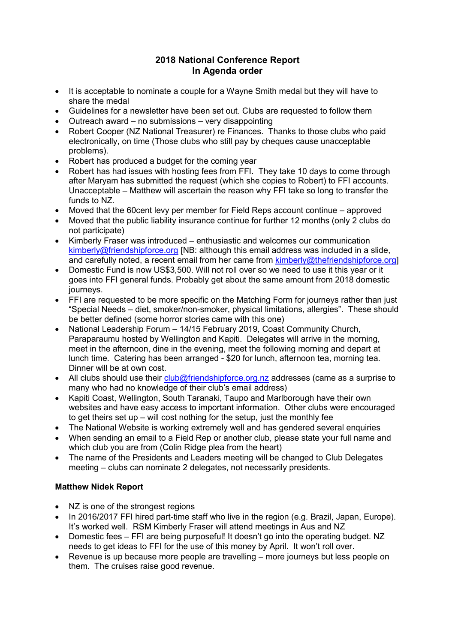# **2018 National Conference Report In Agenda order**

- It is acceptable to nominate a couple for a Wayne Smith medal but they will have to share the medal
- Guidelines for a newsletter have been set out. Clubs are requested to follow them
- Outreach award no submissions very disappointing
- Robert Cooper (NZ National Treasurer) re Finances. Thanks to those clubs who paid electronically, on time (Those clubs who still pay by cheques cause unacceptable problems).
- Robert has produced a budget for the coming year
- Robert has had issues with hosting fees from FFI. They take 10 days to come through after Maryam has submitted the request (which she copies to Robert) to FFI accounts. Unacceptable – Matthew will ascertain the reason why FFI take so long to transfer the funds to NZ.
- Moved that the 60cent levy per member for Field Reps account continue approved
- Moved that the public liability insurance continue for further 12 months (only 2 clubs do not participate)
- Kimberly Fraser was introduced enthusiastic and welcomes our communication  $kimberlv@friendshipforce.org [NB: although this email address was included in a slide.$ and carefully noted, a recent email from her came from [kimberly@thefriendshipforce.org\]](mailto:kimberly@thefriendshipforce.org)
- Domestic Fund is now US\$3,500. Will not roll over so we need to use it this year or it goes into FFI general funds. Probably get about the same amount from 2018 domestic journeys.
- FFI are requested to be more specific on the Matching Form for journeys rather than just "Special Needs – diet, smoker/non-smoker, physical limitations, allergies". These should be better defined (some horror stories came with this one)
- National Leadership Forum 14/15 February 2019, Coast Community Church, Paraparaumu hosted by Wellington and Kapiti. Delegates will arrive in the morning, meet in the afternoon, dine in the evening, meet the following morning and depart at lunch time. Catering has been arranged - \$20 for lunch, afternoon tea, morning tea. Dinner will be at own cost.
- All clubs should use their  $\frac{\text{club@friendshipforce.org.nz} }{\text{dbofocce.org.nz} }$  addresses (came as a surprise to many who had no knowledge of their club's email address)
- Kapiti Coast, Wellington, South Taranaki, Taupo and Marlborough have their own websites and have easy access to important information. Other clubs were encouraged to get theirs set up – will cost nothing for the setup, just the monthly fee
- The National Website is working extremely well and has gendered several enquiries
- When sending an email to a Field Rep or another club, please state your full name and which club you are from (Colin Ridge plea from the heart)
- The name of the Presidents and Leaders meeting will be changed to Club Delegates meeting – clubs can nominate 2 delegates, not necessarily presidents.

# **Matthew Nidek Report**

- NZ is one of the strongest regions
- In 2016/2017 FFI hired part-time staff who live in the region (e.g. Brazil, Japan, Europe). It's worked well. RSM Kimberly Fraser will attend meetings in Aus and NZ
- Domestic fees FFI are being purposeful! It doesn't go into the operating budget. NZ needs to get ideas to FFI for the use of this money by April. It won't roll over.
- Revenue is up because more people are travelling more journeys but less people on them. The cruises raise good revenue.